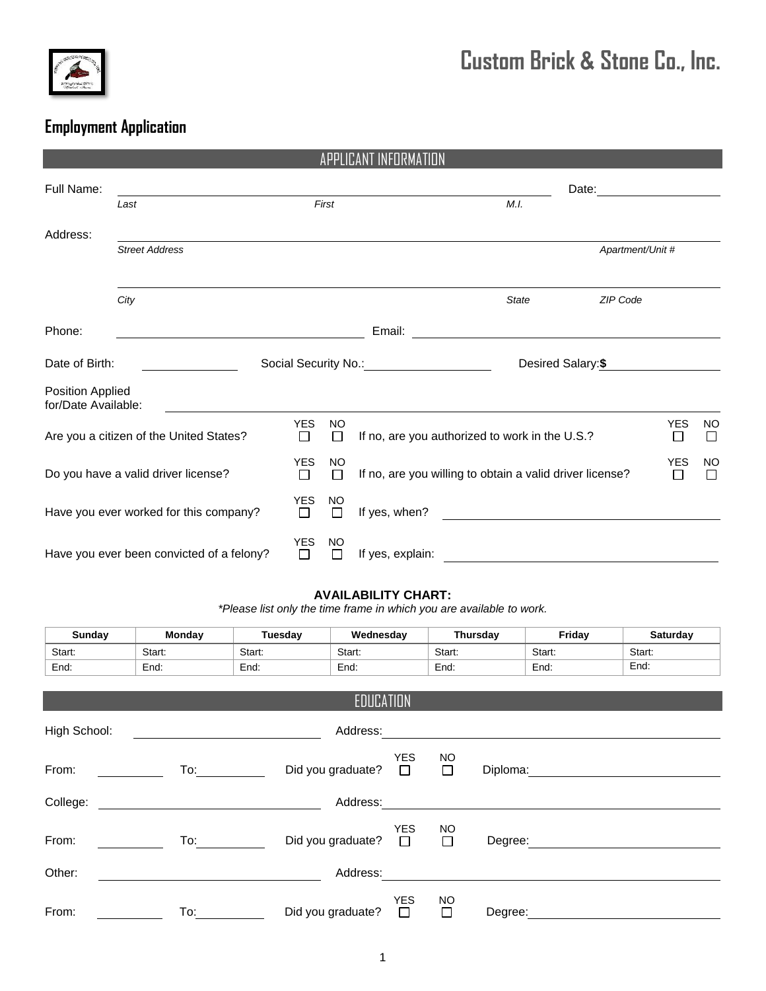

## **Custom Brick & Stone Co., Inc.**

## **Employment Application**

|                                           |                                         |                      | APPLICA             |                                                          |                                                                                                                       |                  |                      |                     |
|-------------------------------------------|-----------------------------------------|----------------------|---------------------|----------------------------------------------------------|-----------------------------------------------------------------------------------------------------------------------|------------------|----------------------|---------------------|
| Full Name:                                |                                         |                      |                     |                                                          |                                                                                                                       | Date:            |                      |                     |
|                                           | Last                                    |                      | First               |                                                          | M.I.                                                                                                                  |                  |                      |                     |
| Address:                                  |                                         |                      |                     |                                                          |                                                                                                                       |                  |                      |                     |
|                                           | <b>Street Address</b>                   |                      |                     |                                                          |                                                                                                                       | Apartment/Unit # |                      |                     |
|                                           | City                                    |                      |                     |                                                          | <b>State</b>                                                                                                          | ZIP Code         |                      |                     |
| Phone:                                    |                                         |                      |                     | Email:                                                   |                                                                                                                       |                  |                      |                     |
| Date of Birth:                            |                                         |                      |                     | Social Security No.: 1997                                | Desired Salary:\$                                                                                                     |                  |                      |                     |
| Position Applied<br>for/Date Available:   |                                         |                      |                     |                                                          |                                                                                                                       |                  |                      |                     |
|                                           | Are you a citizen of the United States? | <b>YES</b><br>П      | <b>NO</b><br>П      | If no, are you authorized to work in the U.S.?           |                                                                                                                       |                  | <b>YES</b><br>$\Box$ | <b>NO</b><br>$\Box$ |
| Do you have a valid driver license?       |                                         | <b>YES</b><br>$\Box$ | <b>NO</b><br>П      | If no, are you willing to obtain a valid driver license? |                                                                                                                       | <b>YES</b><br>П  | <b>NO</b><br>П       |                     |
|                                           | Have you ever worked for this company?  | <b>YES</b><br>П      | <b>NO</b><br>П      | If yes, when?                                            | <u>and the state of the state of the state of the state of the state of the state of the state of the state of th</u> |                  |                      |                     |
| Have you ever been convicted of a felony? |                                         | <b>YES</b><br>П      | <b>NO</b><br>$\Box$ | If yes, explain:                                         |                                                                                                                       |                  |                      |                     |

## **AVAILABILITY CHART:**

*\*Please list only the time frame in which you are available to work.*

| <b>Sunday</b> | Monday              | Tuesday | Wednesday         |                      |                     | Thursday | Friday | Saturday |
|---------------|---------------------|---------|-------------------|----------------------|---------------------|----------|--------|----------|
| Start:        | Start:              | Start:  | Start:            |                      | Start:              |          | Start: | Start:   |
| End:          | End:                | End:    | End:              |                      | End:                |          | End:   | End:     |
|               |                     |         | EDUCATION         |                      |                     |          |        |          |
|               |                     |         |                   |                      |                     |          |        |          |
| High School:  |                     |         | Address:          |                      |                     |          |        |          |
| From:         | To: $\qquad \qquad$ |         | Did you graduate? | YES<br>$\Box$        | <b>NO</b><br>$\Box$ | Diploma: |        |          |
|               |                     |         |                   |                      |                     |          |        |          |
| College:      |                     |         | Address:          |                      |                     |          |        |          |
| From:         | To: $\_\_$          |         | Did you graduate? | <b>YES</b><br>$\Box$ | NO.<br>$\Box$       | Degree:  |        |          |
|               |                     |         |                   |                      |                     |          |        |          |
| Other:        |                     |         | Address:          |                      |                     |          |        |          |
| From:         | To:                 |         | Did you graduate? | <b>YES</b><br>$\Box$ | NO.<br>$\Box$       | Degree:  |        |          |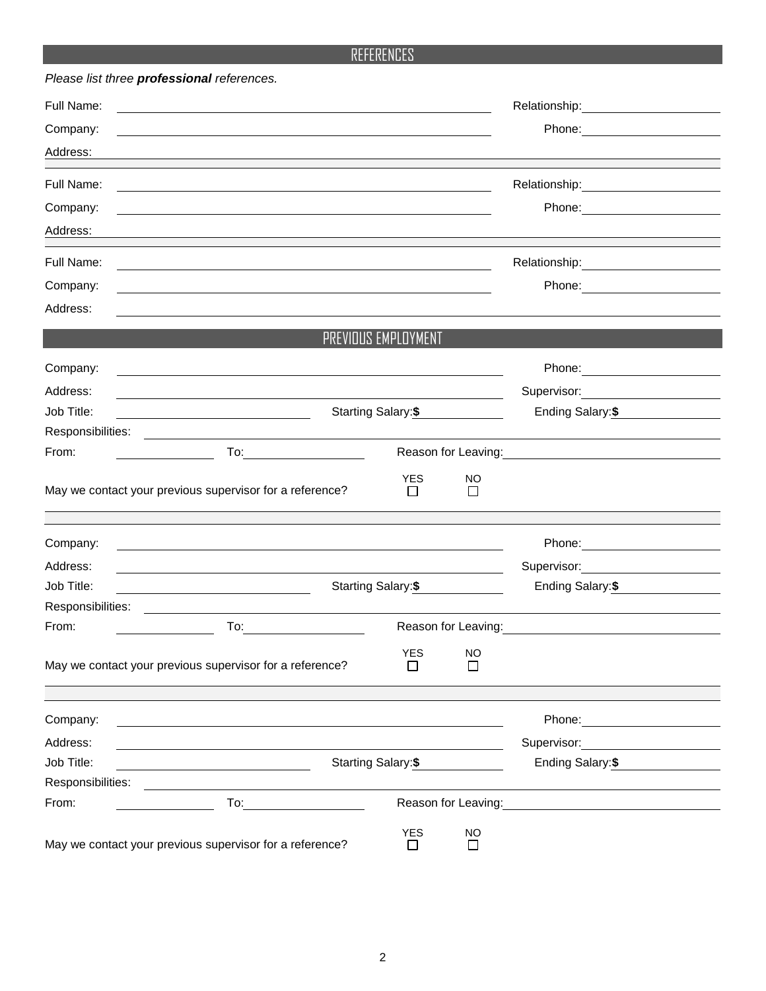## REFERENCES

| Please list three professional references. |                                                                                                                                                                                                                                     |                       |                     |                                                                                                                                                                                                                                |
|--------------------------------------------|-------------------------------------------------------------------------------------------------------------------------------------------------------------------------------------------------------------------------------------|-----------------------|---------------------|--------------------------------------------------------------------------------------------------------------------------------------------------------------------------------------------------------------------------------|
| Full Name:                                 |                                                                                                                                                                                                                                     |                       |                     | Relationship: 2000                                                                                                                                                                                                             |
| Company:                                   |                                                                                                                                                                                                                                     |                       |                     |                                                                                                                                                                                                                                |
| Address:                                   |                                                                                                                                                                                                                                     |                       |                     |                                                                                                                                                                                                                                |
| Full Name:                                 |                                                                                                                                                                                                                                     |                       |                     | Relationship: 2000                                                                                                                                                                                                             |
| Company:                                   |                                                                                                                                                                                                                                     |                       |                     | Phone: 2008 2010 2010 2010 2010 2010 2021 2022 2023 2024 2022 2023 2024 2025 2026 2027 2028 2029 2020 2021 20                                                                                                                  |
| Address:                                   | <u> 1989 - Johann Barbara, martin amerikan basal dan berasal dalam basal dan berasal dan berasal dan berasal dan</u>                                                                                                                |                       |                     |                                                                                                                                                                                                                                |
| Full Name:                                 |                                                                                                                                                                                                                                     |                       |                     |                                                                                                                                                                                                                                |
| Company:                                   |                                                                                                                                                                                                                                     |                       |                     | Phone:<br><u> 1989 - Johann Barnett, fransk politiker (</u>                                                                                                                                                                    |
| Address:                                   |                                                                                                                                                                                                                                     |                       |                     |                                                                                                                                                                                                                                |
|                                            |                                                                                                                                                                                                                                     | PREVIOUS EMPLOYMENT   |                     |                                                                                                                                                                                                                                |
| Company:                                   |                                                                                                                                                                                                                                     |                       |                     |                                                                                                                                                                                                                                |
| Address:                                   |                                                                                                                                                                                                                                     |                       |                     | Supervisor:<br><u> 1989 - Andrea State Barbara, pre</u>                                                                                                                                                                        |
| Job Title:                                 | Starting Salary: \$                                                                                                                                                                                                                 |                       |                     | Ending Salary:\$                                                                                                                                                                                                               |
| Responsibilities:                          |                                                                                                                                                                                                                                     |                       |                     |                                                                                                                                                                                                                                |
| From:                                      | <b>To:</b> the contract of the contract of the contract of the contract of the contract of the contract of the contract of the contract of the contract of the contract of the contract of the contract of the contract of the cont |                       |                     | Reason for Leaving: Network of the Manuscript of the Manuscript of the Manuscript of the Manuscript of the Manuscript of the Manuscript of the Manuscript of the Manuscript of the Manuscript of the Manuscript of the Manuscr |
|                                            | May we contact your previous supervisor for a reference?                                                                                                                                                                            | <b>YES</b><br>$\perp$ | <b>NO</b><br>$\Box$ |                                                                                                                                                                                                                                |
| Company:                                   |                                                                                                                                                                                                                                     |                       |                     |                                                                                                                                                                                                                                |
| Address:                                   | <u> 1989 - Johann Barnett, fransk politiker (d. 1989)</u>                                                                                                                                                                           |                       |                     | Supervisor: Victor Contract Contract Contract Contract Contract Contract Contract Contract Contract Contract Co                                                                                                                |
| Job Title:                                 |                                                                                                                                                                                                                                     | Starting Salary: \$   |                     | Ending Salary:\$                                                                                                                                                                                                               |
| Responsibilities:                          |                                                                                                                                                                                                                                     |                       |                     |                                                                                                                                                                                                                                |
| From:                                      | <b>To:</b> the contract of the contract of the contract of the contract of the contract of the contract of the contract of the contract of the contract of the contract of the contract of the contract of the contract of the cont |                       |                     |                                                                                                                                                                                                                                |
|                                            | May we contact your previous supervisor for a reference?                                                                                                                                                                            | <b>YES</b><br>П       | <b>NO</b><br>$\Box$ |                                                                                                                                                                                                                                |
| Company:                                   |                                                                                                                                                                                                                                     |                       |                     | Phone: _______________________                                                                                                                                                                                                 |
| Address:                                   |                                                                                                                                                                                                                                     |                       |                     | Supervisor: <b>Example 2019</b>                                                                                                                                                                                                |
| Job Title:                                 | <u> 1989 - Johann Barn, mars eta bainar eta idazlea (</u>                                                                                                                                                                           | Starting Salary: \$   |                     | Ending Salary:\$                                                                                                                                                                                                               |
| Responsibilities:                          | <u> 1989 - Johann Stoff, Amerikaansk politiker († 1908)</u>                                                                                                                                                                         |                       |                     |                                                                                                                                                                                                                                |
| From:                                      | To: the contract of the contract of the contract of the contract of the contract of the contract of the contract of the contract of the contract of the contract of the contract of the contract of the contract of the contra      |                       |                     | Reason for Leaving: Network of the Manuscript of the Manuscript of the Manuscript of the Manuscript of the Manuscript of the Manuscript of the Manuscript of the Manuscript of the Manuscript of the Manuscript of the Manuscr |
|                                            | May we contact your previous supervisor for a reference?                                                                                                                                                                            | <b>YES</b><br>П       | <b>NO</b><br>П      |                                                                                                                                                                                                                                |